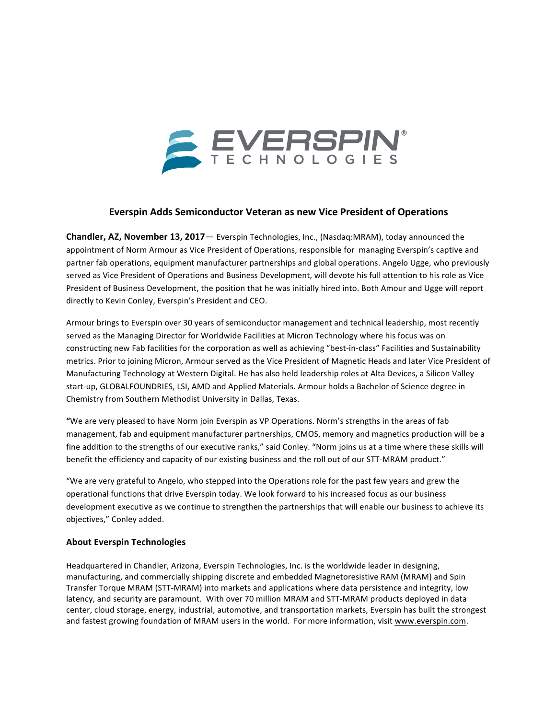

## **Everspin Adds Semiconductor Veteran as new Vice President of Operations**

**Chandler, AZ, November 13, 2017**— Everspin Technologies, Inc., (Nasdaq:MRAM), today announced the appointment of Norm Armour as Vice President of Operations, responsible for managing Everspin's captive and partner fab operations, equipment manufacturer partnerships and global operations. Angelo Ugge, who previously served as Vice President of Operations and Business Development, will devote his full attention to his role as Vice President of Business Development, the position that he was initially hired into. Both Amour and Ugge will report directly to Kevin Conley, Everspin's President and CEO.

Armour brings to Everspin over 30 years of semiconductor management and technical leadership, most recently served as the Managing Director for Worldwide Facilities at Micron Technology where his focus was on constructing new Fab facilities for the corporation as well as achieving "best-in-class" Facilities and Sustainability metrics. Prior to joining Micron, Armour served as the Vice President of Magnetic Heads and later Vice President of Manufacturing Technology at Western Digital. He has also held leadership roles at Alta Devices, a Silicon Valley start-up, GLOBALFOUNDRIES, LSI, AMD and Applied Materials. Armour holds a Bachelor of Science degree in Chemistry from Southern Methodist University in Dallas, Texas.

"We are very pleased to have Norm join Everspin as VP Operations. Norm's strengths in the areas of fab management, fab and equipment manufacturer partnerships, CMOS, memory and magnetics production will be a fine addition to the strengths of our executive ranks," said Conley. "Norm joins us at a time where these skills will benefit the efficiency and capacity of our existing business and the roll out of our STT-MRAM product."

"We are very grateful to Angelo, who stepped into the Operations role for the past few years and grew the operational functions that drive Everspin today. We look forward to his increased focus as our business development executive as we continue to strengthen the partnerships that will enable our business to achieve its objectives," Conley added.

## **About Everspin Technologies**

Headquartered in Chandler, Arizona, Everspin Technologies, Inc. is the worldwide leader in designing, manufacturing, and commercially shipping discrete and embedded Magnetoresistive RAM (MRAM) and Spin Transfer Torque MRAM (STT-MRAM) into markets and applications where data persistence and integrity, low latency, and security are paramount. With over 70 million MRAM and STT-MRAM products deployed in data center, cloud storage, energy, industrial, automotive, and transportation markets, Everspin has built the strongest and fastest growing foundation of MRAM users in the world. For more information, visit www.everspin.com.